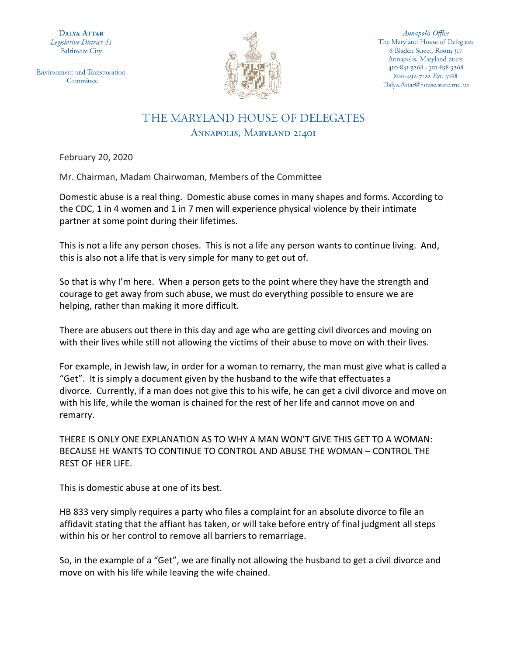**DALYA ATTAR** Legislative District 41 **Baltimore City** 

**Environment and Transporation** Committee



Annapolis Office The Maryland House of Delegates 6 Bladen Street, Room 317 Annapolis, Maryland 21401 410-841-3268 · 301-858-3268 800-492-7122 Ext. 3268 Dalya.Attar@house.state.md.us

## THE MARYLAND HOUSE OF DELEGATES ANNAPOLIS, MARYLAND 21401

February 20, 2020

Mr. Chairman, Madam Chairwoman, Members of the Committee

Domestic abuse is a real thing. Domestic abuse comes in many shapes and forms. According to the CDC, 1 in 4 women and 1 in 7 men will experience physical violence by their intimate partner at some point during their lifetimes.

This is not a life any person choses. This is not a life any person wants to continue living. And, this is also not a life that is very simple for many to get out of.

So that is why I'm here. When a person gets to the point where they have the strength and courage to get away from such abuse, we must do everything possible to ensure we are helping, rather than making it more difficult.

There are abusers out there in this day and age who are getting civil divorces and moving on with their lives while still not allowing the victims of their abuse to move on with their lives.

For example, in Jewish law, in order for a woman to remarry, the man must give what is called a "Get". It is simply a document given by the husband to the wife that effectuates a divorce. Currently, if a man does not give this to his wife, he can get a civil divorce and move on with his life, while the woman is chained for the rest of her life and cannot move on and remarry.

THERE IS ONLY ONE EXPLANATION AS TO WHY A MAN WON'T GIVE THIS GET TO A WOMAN: BECAUSE HE WANTS TO CONTINUE TO CONTROL AND ABUSE THE WOMAN – CONTROL THE REST OF HER LIFE.

This is domestic abuse at one of its best.

HB 833 very simply requires a party who files a complaint for an absolute divorce to file an affidavit stating that the affiant has taken, or will take before entry of final judgment all steps within his or her control to remove all barriers to remarriage.

So, in the example of a "Get", we are finally not allowing the husband to get a civil divorce and move on with his life while leaving the wife chained.